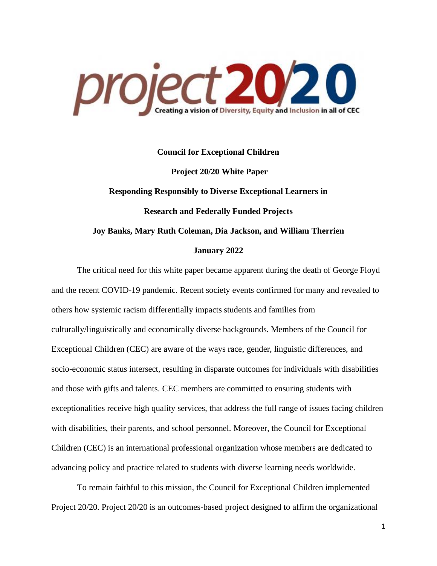

# **Council for Exceptional Children Project 20/20 White Paper Responding Responsibly to Diverse Exceptional Learners in Research and Federally Funded Projects Joy Banks, Mary Ruth Coleman, Dia Jackson, and William Therrien January 2022**

The critical need for this white paper became apparent during the death of George Floyd and the recent COVID-19 pandemic. Recent society events confirmed for many and revealed to others how systemic racism differentially impacts students and families from culturally/linguistically and economically diverse backgrounds. Members of the Council for Exceptional Children (CEC) are aware of the ways race, gender, linguistic differences, and socio-economic status intersect, resulting in disparate outcomes for individuals with disabilities and those with gifts and talents. CEC members are committed to ensuring students with exceptionalities receive high quality services, that address the full range of issues facing children with disabilities, their parents, and school personnel. Moreover, the Council for Exceptional Children (CEC) is an international professional organization whose members are dedicated to advancing policy and practice related to students with diverse learning needs worldwide.

To remain faithful to this mission, the Council for Exceptional Children implemented Project 20/20. Project 20/20 is an outcomes-based project designed to affirm the organizational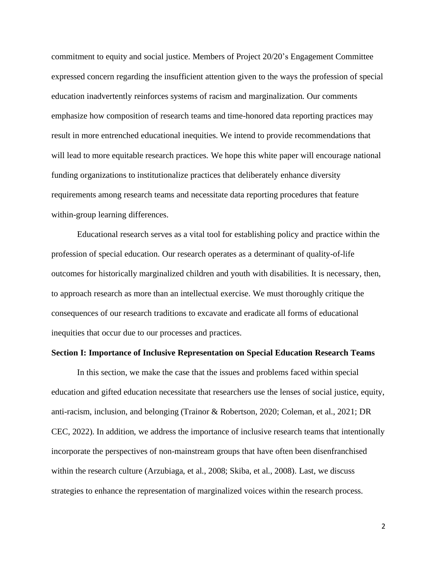commitment to equity and social justice. Members of Project 20/20's Engagement Committee expressed concern regarding the insufficient attention given to the ways the profession of special education inadvertently reinforces systems of racism and marginalization. Our comments emphasize how composition of research teams and time-honored data reporting practices may result in more entrenched educational inequities. We intend to provide recommendations that will lead to more equitable research practices. We hope this white paper will encourage national funding organizations to institutionalize practices that deliberately enhance diversity requirements among research teams and necessitate data reporting procedures that feature within-group learning differences.

Educational research serves as a vital tool for establishing policy and practice within the profession of special education. Our research operates as a determinant of quality-of-life outcomes for historically marginalized children and youth with disabilities. It is necessary, then, to approach research as more than an intellectual exercise. We must thoroughly critique the consequences of our research traditions to excavate and eradicate all forms of educational inequities that occur due to our processes and practices.

#### **Section I: Importance of Inclusive Representation on Special Education Research Teams**

In this section, we make the case that the issues and problems faced within special education and gifted education necessitate that researchers use the lenses of social justice, equity, anti-racism, inclusion, and belonging (Trainor & Robertson, 2020; Coleman, et al., 2021; DR CEC, 2022). In addition, we address the importance of inclusive research teams that intentionally incorporate the perspectives of non-mainstream groups that have often been disenfranchised within the research culture (Arzubiaga, et al., 2008; Skiba, et al., 2008). Last, we discuss strategies to enhance the representation of marginalized voices within the research process.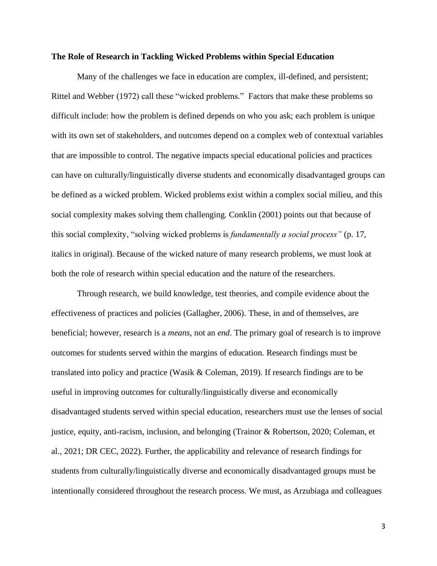#### **The Role of Research in Tackling Wicked Problems within Special Education**

Many of the challenges we face in education are complex, ill-defined, and persistent; Rittel and Webber (1972) call these "wicked problems." Factors that make these problems so difficult include: how the problem is defined depends on who you ask; each problem is unique with its own set of stakeholders, and outcomes depend on a complex web of contextual variables that are impossible to control. The negative impacts special educational policies and practices can have on culturally/linguistically diverse students and economically disadvantaged groups can be defined as a wicked problem. Wicked problems exist within a complex social milieu, and this social complexity makes solving them challenging. Conklin (2001) points out that because of this social complexity, "solving wicked problems is *fundamentally a social process"* (p. 17, italics in original). Because of the wicked nature of many research problems, we must look at both the role of research within special education and the nature of the researchers.

Through research, we build knowledge, test theories, and compile evidence about the effectiveness of practices and policies (Gallagher, 2006). These, in and of themselves, are beneficial; however, research is a *means,* not an *end*. The primary goal of research is to improve outcomes for students served within the margins of education. Research findings must be translated into policy and practice (Wasik & Coleman, 2019). If research findings are to be useful in improving outcomes for culturally/linguistically diverse and economically disadvantaged students served within special education, researchers must use the lenses of social justice, equity, anti-racism, inclusion, and belonging (Trainor & Robertson, 2020; Coleman, et al., 2021; DR CEC, 2022). Further, the applicability and relevance of research findings for students from culturally/linguistically diverse and economically disadvantaged groups must be intentionally considered throughout the research process. We must, as Arzubiaga and colleagues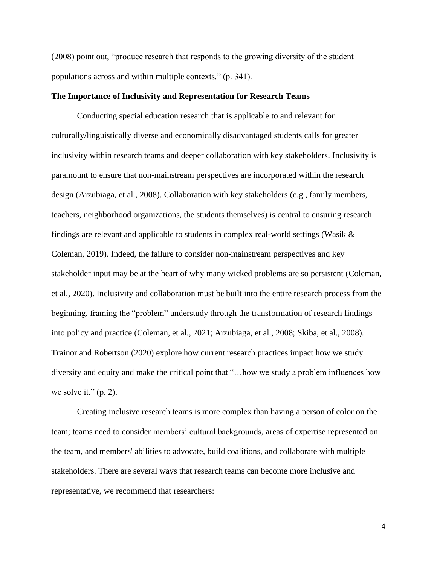(2008) point out, "produce research that responds to the growing diversity of the student populations across and within multiple contexts." (p. 341).

### **The Importance of Inclusivity and Representation for Research Teams**

Conducting special education research that is applicable to and relevant for culturally/linguistically diverse and economically disadvantaged students calls for greater inclusivity within research teams and deeper collaboration with key stakeholders. Inclusivity is paramount to ensure that non-mainstream perspectives are incorporated within the research design (Arzubiaga, et al., 2008). Collaboration with key stakeholders (e.g., family members, teachers, neighborhood organizations, the students themselves) is central to ensuring research findings are relevant and applicable to students in complex real-world settings (Wasik & Coleman, 2019). Indeed, the failure to consider non-mainstream perspectives and key stakeholder input may be at the heart of why many wicked problems are so persistent (Coleman, et al., 2020). Inclusivity and collaboration must be built into the entire research process from the beginning, framing the "problem" understudy through the transformation of research findings into policy and practice (Coleman, et al., 2021; Arzubiaga, et al., 2008; Skiba, et al., 2008). Trainor and Robertson (2020) explore how current research practices impact how we study diversity and equity and make the critical point that "…how we study a problem influences how we solve it."  $(p. 2)$ .

Creating inclusive research teams is more complex than having a person of color on the team; teams need to consider members' cultural backgrounds, areas of expertise represented on the team, and members' abilities to advocate, build coalitions, and collaborate with multiple stakeholders. There are several ways that research teams can become more inclusive and representative, we recommend that researchers: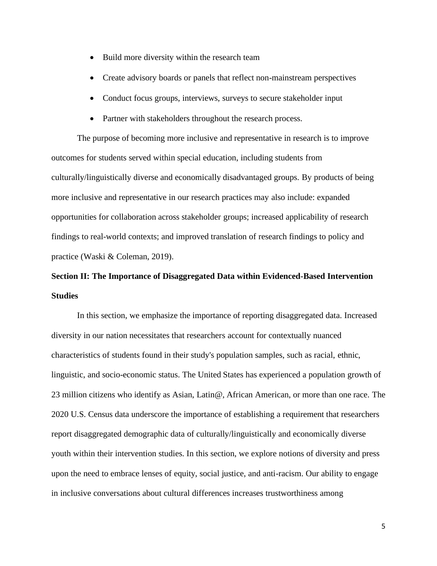- Build more diversity within the research team
- Create advisory boards or panels that reflect non-mainstream perspectives
- Conduct focus groups, interviews, surveys to secure stakeholder input
- Partner with stakeholders throughout the research process.

The purpose of becoming more inclusive and representative in research is to improve outcomes for students served within special education, including students from culturally/linguistically diverse and economically disadvantaged groups. By products of being more inclusive and representative in our research practices may also include: expanded opportunities for collaboration across stakeholder groups; increased applicability of research findings to real-world contexts; and improved translation of research findings to policy and practice (Waski & Coleman, 2019).

### **Section II: The Importance of Disaggregated Data within Evidenced-Based Intervention Studies**

In this section, we emphasize the importance of reporting disaggregated data. Increased diversity in our nation necessitates that researchers account for contextually nuanced characteristics of students found in their study's population samples, such as racial, ethnic, linguistic, and socio-economic status. The United States has experienced a population growth of 23 million citizens who identify as Asian, Latin@, African American, or more than one race. The 2020 U.S. Census data underscore the importance of establishing a requirement that researchers report disaggregated demographic data of culturally/linguistically and economically diverse youth within their intervention studies. In this section, we explore notions of diversity and press upon the need to embrace lenses of equity, social justice, and anti-racism. Our ability to engage in inclusive conversations about cultural differences increases trustworthiness among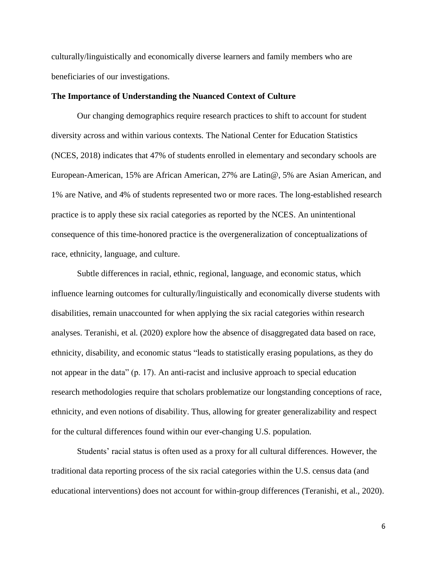culturally/linguistically and economically diverse learners and family members who are beneficiaries of our investigations.

### **The Importance of Understanding the Nuanced Context of Culture**

Our changing demographics require research practices to shift to account for student diversity across and within various contexts. The National Center for Education Statistics (NCES, 2018) indicates that 47% of students enrolled in elementary and secondary schools are European-American, 15% are African American, 27% are Latin@, 5% are Asian American, and 1% are Native, and 4% of students represented two or more races. The long-established research practice is to apply these six racial categories as reported by the NCES. An unintentional consequence of this time-honored practice is the overgeneralization of conceptualizations of race, ethnicity, language, and culture.

Subtle differences in racial, ethnic, regional, language, and economic status, which influence learning outcomes for culturally/linguistically and economically diverse students with disabilities, remain unaccounted for when applying the six racial categories within research analyses. Teranishi, et al. (2020) explore how the absence of disaggregated data based on race, ethnicity, disability, and economic status "leads to statistically erasing populations, as they do not appear in the data" (p. 17). An anti-racist and inclusive approach to special education research methodologies require that scholars problematize our longstanding conceptions of race, ethnicity, and even notions of disability. Thus, allowing for greater generalizability and respect for the cultural differences found within our ever-changing U.S. population.

Students' racial status is often used as a proxy for all cultural differences. However, the traditional data reporting process of the six racial categories within the U.S. census data (and educational interventions) does not account for within-group differences (Teranishi, et al., 2020).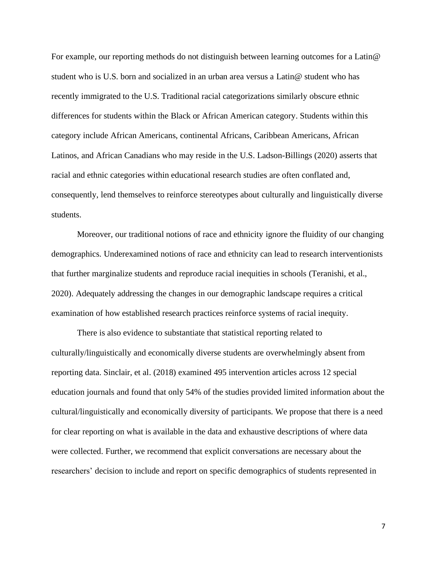For example, our reporting methods do not distinguish between learning outcomes for a Latin@ student who is U.S. born and socialized in an urban area versus a Latin@ student who has recently immigrated to the U.S. Traditional racial categorizations similarly obscure ethnic differences for students within the Black or African American category. Students within this category include African Americans, continental Africans, Caribbean Americans, African Latinos, and African Canadians who may reside in the U.S. Ladson-Billings (2020) asserts that racial and ethnic categories within educational research studies are often conflated and, consequently, lend themselves to reinforce stereotypes about culturally and linguistically diverse students.

Moreover, our traditional notions of race and ethnicity ignore the fluidity of our changing demographics. Underexamined notions of race and ethnicity can lead to research interventionists that further marginalize students and reproduce racial inequities in schools (Teranishi, et al., 2020). Adequately addressing the changes in our demographic landscape requires a critical examination of how established research practices reinforce systems of racial inequity.

There is also evidence to substantiate that statistical reporting related to culturally/linguistically and economically diverse students are overwhelmingly absent from reporting data. Sinclair, et al. (2018) examined 495 intervention articles across 12 special education journals and found that only 54% of the studies provided limited information about the cultural/linguistically and economically diversity of participants. We propose that there is a need for clear reporting on what is available in the data and exhaustive descriptions of where data were collected. Further, we recommend that explicit conversations are necessary about the researchers' decision to include and report on specific demographics of students represented in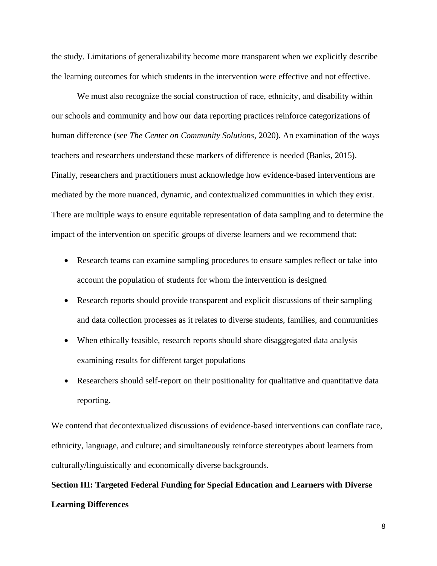the study. Limitations of generalizability become more transparent when we explicitly describe the learning outcomes for which students in the intervention were effective and not effective.

We must also recognize the social construction of race, ethnicity, and disability within our schools and community and how our data reporting practices reinforce categorizations of human difference (see *The Center on Community Solutions*, 2020). An examination of the ways teachers and researchers understand these markers of difference is needed (Banks, 2015). Finally, researchers and practitioners must acknowledge how evidence-based interventions are mediated by the more nuanced, dynamic, and contextualized communities in which they exist. There are multiple ways to ensure equitable representation of data sampling and to determine the impact of the intervention on specific groups of diverse learners and we recommend that:

- Research teams can examine sampling procedures to ensure samples reflect or take into account the population of students for whom the intervention is designed
- Research reports should provide transparent and explicit discussions of their sampling and data collection processes as it relates to diverse students, families, and communities
- When ethically feasible, research reports should share disaggregated data analysis examining results for different target populations
- Researchers should self-report on their positionality for qualitative and quantitative data reporting.

We contend that decontextualized discussions of evidence-based interventions can conflate race, ethnicity, language, and culture; and simultaneously reinforce stereotypes about learners from culturally/linguistically and economically diverse backgrounds.

## **Section III: Targeted Federal Funding for Special Education and Learners with Diverse Learning Differences**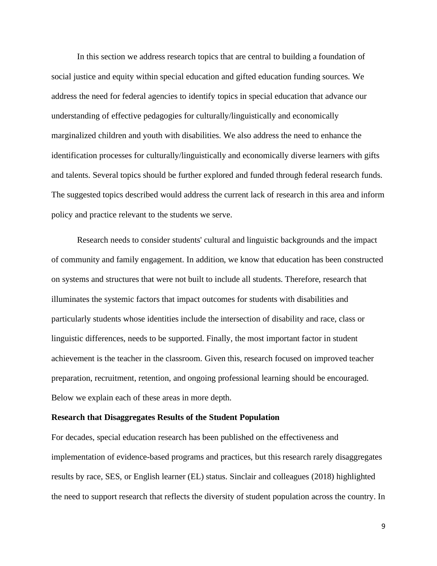In this section we address research topics that are central to building a foundation of social justice and equity within special education and gifted education funding sources. We address the need for federal agencies to identify topics in special education that advance our understanding of effective pedagogies for culturally/linguistically and economically marginalized children and youth with disabilities. We also address the need to enhance the identification processes for culturally/linguistically and economically diverse learners with gifts and talents. Several topics should be further explored and funded through federal research funds. The suggested topics described would address the current lack of research in this area and inform policy and practice relevant to the students we serve.

Research needs to consider students' cultural and linguistic backgrounds and the impact of community and family engagement. In addition, we know that education has been constructed on systems and structures that were not built to include all students. Therefore, research that illuminates the systemic factors that impact outcomes for students with disabilities and particularly students whose identities include the intersection of disability and race, class or linguistic differences, needs to be supported. Finally, the most important factor in student achievement is the teacher in the classroom. Given this, research focused on improved teacher preparation, recruitment, retention, and ongoing professional learning should be encouraged. Below we explain each of these areas in more depth.

### **Research that Disaggregates Results of the Student Population**

For decades, special education research has been published on the effectiveness and implementation of evidence-based programs and practices, but this research rarely disaggregates results by race, SES, or English learner (EL) status. Sinclair and colleagues (2018) highlighted the need to support research that reflects the diversity of student population across the country. In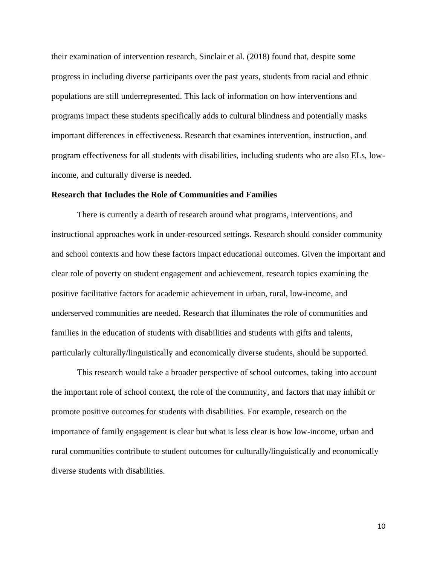their examination of intervention research, Sinclair et al. (2018) found that, despite some progress in including diverse participants over the past years, students from racial and ethnic populations are still underrepresented. This lack of information on how interventions and programs impact these students specifically adds to cultural blindness and potentially masks important differences in effectiveness. Research that examines intervention, instruction, and program effectiveness for all students with disabilities, including students who are also ELs, lowincome, and culturally diverse is needed.

### **Research that Includes the Role of Communities and Families**

There is currently a dearth of research around what programs, interventions, and instructional approaches work in under-resourced settings. Research should consider community and school contexts and how these factors impact educational outcomes. Given the important and clear role of poverty on student engagement and achievement, research topics examining the positive facilitative factors for academic achievement in urban, rural, low-income, and underserved communities are needed. Research that illuminates the role of communities and families in the education of students with disabilities and students with gifts and talents, particularly culturally/linguistically and economically diverse students, should be supported.

This research would take a broader perspective of school outcomes, taking into account the important role of school context, the role of the community, and factors that may inhibit or promote positive outcomes for students with disabilities. For example, research on the importance of family engagement is clear but what is less clear is how low-income, urban and rural communities contribute to student outcomes for culturally/linguistically and economically diverse students with disabilities.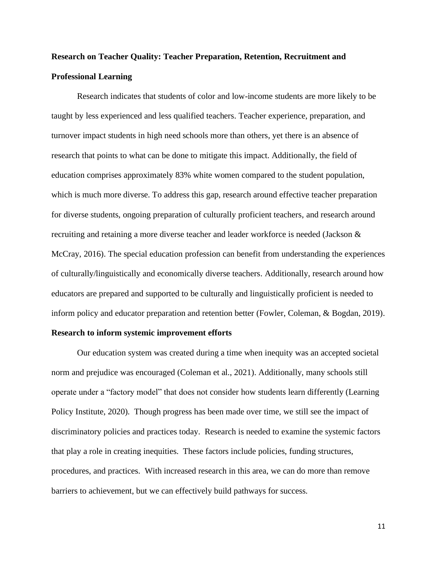## **Research on Teacher Quality: Teacher Preparation, Retention, Recruitment and Professional Learning**

Research indicates that students of color and low-income students are more likely to be taught by less experienced and less qualified teachers. Teacher experience, preparation, and turnover impact students in high need schools more than others, yet there is an absence of research that points to what can be done to mitigate this impact. Additionally, the field of education comprises approximately 83% white women compared to the student population, which is much more diverse. To address this gap, research around effective teacher preparation for diverse students, ongoing preparation of culturally proficient teachers, and research around recruiting and retaining a more diverse teacher and leader workforce is needed (Jackson & McCray, 2016). The special education profession can benefit from understanding the experiences of culturally/linguistically and economically diverse teachers. Additionally, research around how educators are prepared and supported to be culturally and linguistically proficient is needed to inform policy and educator preparation and retention better (Fowler, Coleman, & Bogdan, 2019).

### **Research to inform systemic improvement efforts**

Our education system was created during a time when inequity was an accepted societal norm and prejudice was encouraged (Coleman et al., 2021). Additionally, many schools still operate under a "factory model" that does not consider how students learn differently (Learning Policy Institute, 2020). Though progress has been made over time, we still see the impact of discriminatory policies and practices today. Research is needed to examine the systemic factors that play a role in creating inequities. These factors include policies, funding structures, procedures, and practices. With increased research in this area, we can do more than remove barriers to achievement, but we can effectively build pathways for success.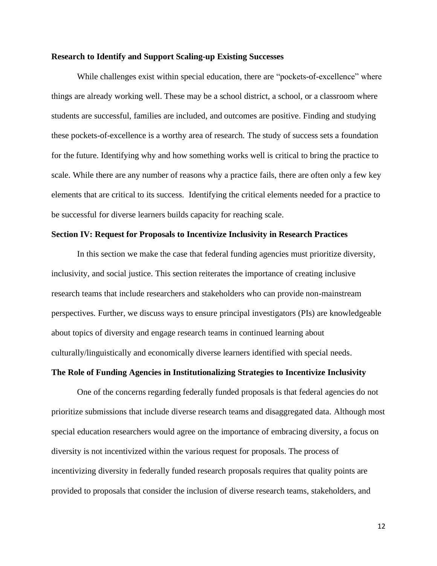#### **Research to Identify and Support Scaling-up Existing Successes**

While challenges exist within special education, there are "pockets-of-excellence" where things are already working well. These may be a school district, a school, or a classroom where students are successful, families are included, and outcomes are positive. Finding and studying these pockets-of-excellence is a worthy area of research. The study of success sets a foundation for the future. Identifying why and how something works well is critical to bring the practice to scale. While there are any number of reasons why a practice fails, there are often only a few key elements that are critical to its success. Identifying the critical elements needed for a practice to be successful for diverse learners builds capacity for reaching scale.

### **Section IV: Request for Proposals to Incentivize Inclusivity in Research Practices**

In this section we make the case that federal funding agencies must prioritize diversity, inclusivity, and social justice. This section reiterates the importance of creating inclusive research teams that include researchers and stakeholders who can provide non-mainstream perspectives. Further, we discuss ways to ensure principal investigators (PIs) are knowledgeable about topics of diversity and engage research teams in continued learning about culturally/linguistically and economically diverse learners identified with special needs.

#### **The Role of Funding Agencies in Institutionalizing Strategies to Incentivize Inclusivity**

One of the concerns regarding federally funded proposals is that federal agencies do not prioritize submissions that include diverse research teams and disaggregated data. Although most special education researchers would agree on the importance of embracing diversity, a focus on diversity is not incentivized within the various request for proposals. The process of incentivizing diversity in federally funded research proposals requires that quality points are provided to proposals that consider the inclusion of diverse research teams, stakeholders, and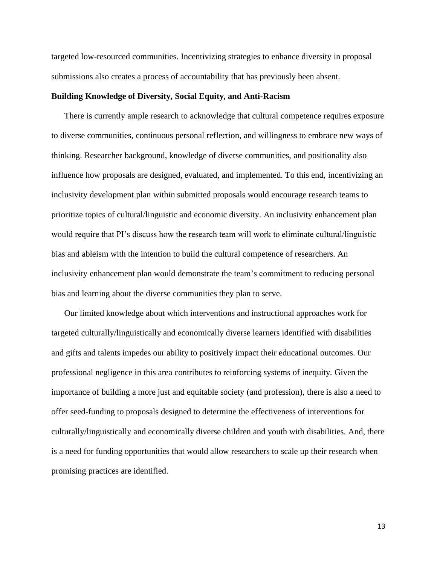targeted low-resourced communities. Incentivizing strategies to enhance diversity in proposal submissions also creates a process of accountability that has previously been absent.

### **Building Knowledge of Diversity, Social Equity, and Anti-Racism**

There is currently ample research to acknowledge that cultural competence requires exposure to diverse communities, continuous personal reflection, and willingness to embrace new ways of thinking. Researcher background, knowledge of diverse communities, and positionality also influence how proposals are designed, evaluated, and implemented. To this end, incentivizing an inclusivity development plan within submitted proposals would encourage research teams to prioritize topics of cultural/linguistic and economic diversity. An inclusivity enhancement plan would require that PI's discuss how the research team will work to eliminate cultural/linguistic bias and ableism with the intention to build the cultural competence of researchers. An inclusivity enhancement plan would demonstrate the team's commitment to reducing personal bias and learning about the diverse communities they plan to serve.

Our limited knowledge about which interventions and instructional approaches work for targeted culturally/linguistically and economically diverse learners identified with disabilities and gifts and talents impedes our ability to positively impact their educational outcomes. Our professional negligence in this area contributes to reinforcing systems of inequity. Given the importance of building a more just and equitable society (and profession), there is also a need to offer seed-funding to proposals designed to determine the effectiveness of interventions for culturally/linguistically and economically diverse children and youth with disabilities. And, there is a need for funding opportunities that would allow researchers to scale up their research when promising practices are identified.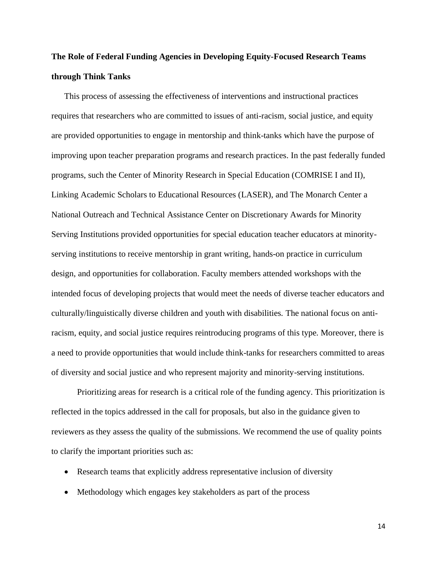### **The Role of Federal Funding Agencies in Developing Equity-Focused Research Teams through Think Tanks**

This process of assessing the effectiveness of interventions and instructional practices requires that researchers who are committed to issues of anti-racism, social justice, and equity are provided opportunities to engage in mentorship and think-tanks which have the purpose of improving upon teacher preparation programs and research practices. In the past federally funded programs, such the Center of Minority Research in Special Education (COMRISE I and II), Linking Academic Scholars to Educational Resources (LASER), and The Monarch Center a National Outreach and Technical Assistance Center on Discretionary Awards for Minority Serving Institutions provided opportunities for special education teacher educators at minorityserving institutions to receive mentorship in grant writing, hands-on practice in curriculum design, and opportunities for collaboration. Faculty members attended workshops with the intended focus of developing projects that would meet the needs of diverse teacher educators and culturally/linguistically diverse children and youth with disabilities. The national focus on antiracism, equity, and social justice requires reintroducing programs of this type. Moreover, there is a need to provide opportunities that would include think-tanks for researchers committed to areas of diversity and social justice and who represent majority and minority-serving institutions.

Prioritizing areas for research is a critical role of the funding agency. This prioritization is reflected in the topics addressed in the call for proposals, but also in the guidance given to reviewers as they assess the quality of the submissions. We recommend the use of quality points to clarify the important priorities such as:

- Research teams that explicitly address representative inclusion of diversity
- Methodology which engages key stakeholders as part of the process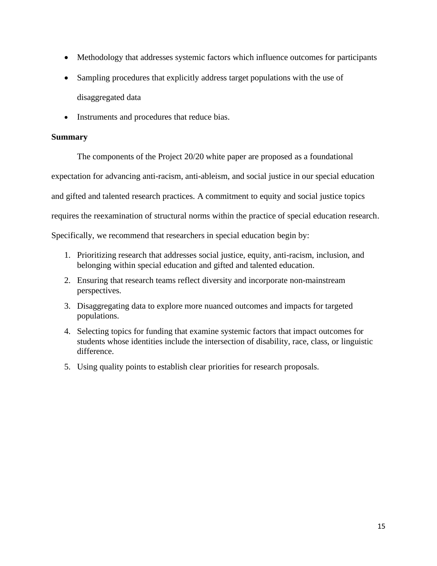- Methodology that addresses systemic factors which influence outcomes for participants
- Sampling procedures that explicitly address target populations with the use of disaggregated data
- Instruments and procedures that reduce bias.

### **Summary**

The components of the Project 20/20 white paper are proposed as a foundational

expectation for advancing anti-racism, anti-ableism, and social justice in our special education

and gifted and talented research practices. A commitment to equity and social justice topics

requires the reexamination of structural norms within the practice of special education research.

Specifically, we recommend that researchers in special education begin by:

- 1. Prioritizing research that addresses social justice, equity, anti-racism, inclusion, and belonging within special education and gifted and talented education.
- 2. Ensuring that research teams reflect diversity and incorporate non-mainstream perspectives.
- 3. Disaggregating data to explore more nuanced outcomes and impacts for targeted populations.
- 4. Selecting topics for funding that examine systemic factors that impact outcomes for students whose identities include the intersection of disability, race, class, or linguistic difference.
- 5. Using quality points to establish clear priorities for research proposals.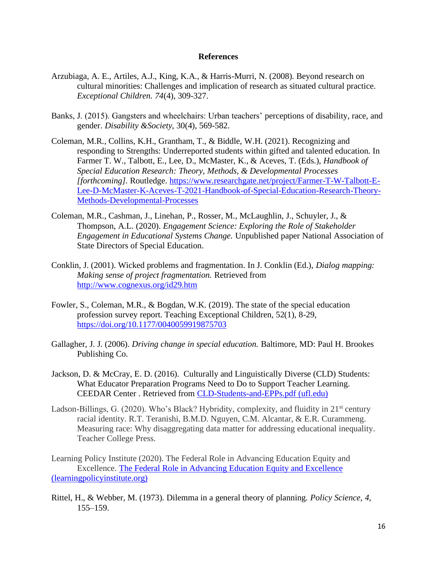### **References**

- Arzubiaga, A. E., Artiles, A.J., King, K.A., & Harris-Murri, N. (2008). Beyond research on cultural minorities: Challenges and implication of research as situated cultural practice. *Exceptional Children. 74*(4), 309-327.
- Banks, J. (2015). Gangsters and wheelchairs: Urban teachers' perceptions of disability, race, and gender. *Disability &Society*, 30(4), 569-582.
- Coleman, M.R., Collins, K.H., Grantham, T., & Biddle, W.H. (2021). Recognizing and responding to Strengths: Underreported students within gifted and talented education. In Farmer T. W., Talbott, E., Lee, D., McMaster, K., & Aceves, T. (Eds.), *Handbook of Special Education Research: Theory, Methods, & Developmental Processes [forthcoming].* Routledge. [https://www.researchgate.net/project/Farmer-T-W-Talbott-E-](https://www.researchgate.net/project/Farmer-T-W-Talbott-E-Lee-D-McMaster-K-Aceves-T-2021-Handbook-of-Special-Education-Research-Theory-Methods-Developmental-Processes)[Lee-D-McMaster-K-Aceves-T-2021-Handbook-of-Special-Education-Research-Theory-](https://www.researchgate.net/project/Farmer-T-W-Talbott-E-Lee-D-McMaster-K-Aceves-T-2021-Handbook-of-Special-Education-Research-Theory-Methods-Developmental-Processes)[Methods-Developmental-Processes](https://www.researchgate.net/project/Farmer-T-W-Talbott-E-Lee-D-McMaster-K-Aceves-T-2021-Handbook-of-Special-Education-Research-Theory-Methods-Developmental-Processes)
- Coleman, M.R., Cashman, J., Linehan, P., Rosser, M., McLaughlin, J., Schuyler, J., & Thompson, A.L. (2020). *Engagement Science: Exploring the Role of Stakeholder Engagement in Educational Systems Change.* Unpublished paper National Association of State Directors of Special Education.
- Conklin, J. (2001). Wicked problems and fragmentation. In J. Conklin (Ed.), *Dialog mapping: Making sense of project fragmentation.* Retrieved from <http://www.cognexus.org/id29.htm>
- Fowler, S., Coleman, M.R., & Bogdan, W.K. (2019). The state of the special education profession survey report. Teaching Exceptional Children, 52(1), 8-29, <https://doi.org/10.1177/0040059919875703>
- Gallagher, J. J. (2006). *Driving change in special education.* Baltimore, MD: Paul H. Brookes Publishing Co.
- Jackson, D. & McCray, E. D. (2016). Culturally and Linguistically Diverse (CLD) Students: What Educator Preparation Programs Need to Do to Support Teacher Learning. CEEDAR Center . Retrieved from [CLD-Students-and-EPPs.pdf \(ufl.edu\)](https://ceedar.education.ufl.edu/wp-content/uploads/2016/11/CLD-Students-and-EPPs.pdf)
- Ladson-Billings, G. (2020). Who's Black? Hybridity, complexity, and fluidity in  $21<sup>st</sup>$  century racial identity. R.T. Teranishi, B.M.D. Nguyen, C.M. Alcantar, & E.R. Curammeng. Measuring race: Why disaggregating data matter for addressing educational inequality. Teacher College Press.

Learning Policy Institute (2020). The Federal Role in Advancing Education Equity and Excellence. [The Federal Role in Advancing Education Equity and Excellence](https://learningpolicyinstitute.org/product/advancing-education-2020-brief)  [\(learningpolicyinstitute.org\)](https://learningpolicyinstitute.org/product/advancing-education-2020-brief)

Rittel, H., & Webber, M. (1973). Dilemma in a general theory of planning. *Policy Science, 4,* 155–159.